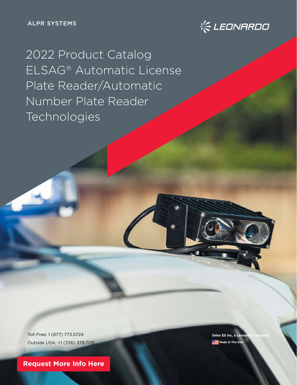

2022 Product Catalog ELSAG® Automatic License Plate Reader/Automatic Number Plate Reader Technologies

Toll Free: 1 (877) 773.5724 Outside USA: +1 (336) 379.7135

**[Request More Info Here](https://www.leonardocompany-us.com/lpr/qr_info_request)**

**Selex ES Inc, a Leon Made In The USA**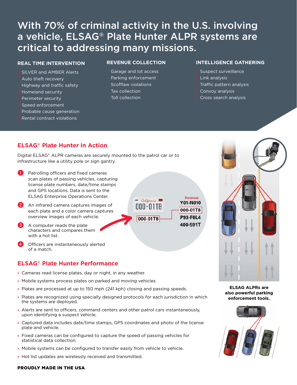# With 70% of criminal activity in the U.S. involving a vehicle, ELSAG® Plate Hunter ALPR systems are critical to addressing many missions.

#### **REAL TIME INTERVENTION**

- **›** SILVER and AMBER Alerts
- **›** Auto theft recovery
- **›** Highway and traffic safety
- **›** Homeland security
- **›** Perimeter security
- **›** Speed enforcement
- **›** Probable cause generation
- **›** Rental contract violations

#### **REVENUE COLLECTION**

- **›** Garage and lot access
- **›** Parking enforcement
- **›** Scofflaw violations
- **›** Tax collection
- **›** Toll collection

#### **INTELLIGENCE GATHERING**

- **›** Suspect surveillance
- **›** Link analysis
- **›** Traffic pattern analysis
- **›** Convoy analysis
- **›** Cross search analysis

# **ELSAG® Plate Hunter In Action**

Digital ELSAG® ALPR cameras are securely mounted to the patrol car or to infrastructure like a utility pole or sign gantry.

- Patrolling officers and fixed cameras scan plates of passing vehicles, capturing license plate numbers, date/time stamps and GPS locations. Data is sent to the ELSAG Enterprise Operations Center.
- 2 An infrared camera captures images of each plate and a color camera captures overview images of each vehicle.



- A computer reads the plate characters and compares them with a hot list.
- Officers are instantaneously alerted of a match.

# **ELSAG® Plate Hunter Performance**

- **›** Cameras read license plates, day or night, in any weather.
- **›** Mobile systems process plates on parked and moving vehicles.
- **›** Plates are processed at up to 150 mph (241 kph) closing and passing speeds.
- **›** Plates are recognized using specially designed protocols for each jurisdiction in which the systems are deployed.
- **›** Alerts are sent to officers, command centers and other patrol cars instantaneously, upon identifying a suspect vehicle.
- **›** Captured data includes date/time stamps, GPS coordinates and photo of the license plate and vehicle.
- **›** Fixed cameras can be configured to capture the speed of passing vehicles for statistical data collection.
- **›** Mobile systems can be configured to transfer easily from vehicle to vehicle.
- **›** Hot list updates are wirelessly received and transmitted.



**ELSAG ALPRs are also powerful parking enforcement tools.**



#### PROUDLY MADE IN THE USA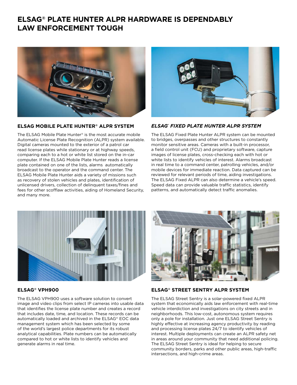# **ELSAG® PLATE HUNTER ALPR HARDWARE IS DEPENDABLY LAW ENFORCEMENT TOUGH**



#### **[ELSAG MOBILE PLATE HUNTER® ALPR SYSTEM](https://www.leonardocompany-us.com/hubfs/LPR/2021%20Product%20Sheets%20for%20QR%20Codes/Mobile%20Plate%20Reader%20Product%20Sheet_qr_2021.pdf)**

The ELSAG Mobile Plate Hunter® is the most accurate mobile Automatic License Plate Recognition (ALPR) system available. Digital cameras mounted to the exterior of a patrol car read license plates while stationary or at highway speeds, comparing each to a hot or white list stored on the in-car computer. If the ELSAG Mobile Plate Hunter reads a license plate contained on one of the lists, alarms automatically broadcast to the operator and the command center. The ELSAG Mobile Plate Hunter aids a variety of missions such as recovery of stolen vehicles and plates, identification of unlicensed drivers, collection of delinquent taxes/fines and fees for other scofflaw activities, aiding of Homeland Security, and many more.



#### *ELSAG® FIXED PLATE HUNTER ALPR SYSTEM*

The ELSAG Fixed Plate Hunter ALPR system can be mounted to bridges, overpasses and other structures to constantly monitor sensitive areas. Cameras with a built-in processor, a field control unit (FCU) and proprietary software, capture images of license plates, cross-checking each with hot or white lists to identify vehicles of interest. Alarms broadcast in real time to a command center, patrolling vehicles, and/or mobile devices for immediate reaction. Data captured can be reviewed for relevant periods of time, aiding investigations. [The ELSAG Fixed ALPR can also determine a vehicle's speed.](https://www.leonardocompany-us.com/hubfs/LPR/2021%20Product%20Sheets%20for%20QR%20Codes/Fixed%20Plate%20Reader%20Product%20Sheet_qr_2021.pdf)  Speed data can provide valuable traffic statistics, identify patterns, and automatically detect traffic anomalies.



#### **ELSAG® VPH900**

The ELSAG VPH900 uses a software solution to convert [image and video clips from select IP cameras into usable data](https://www.leonardocompany-us.com/hubfs/LPR/2021%20Product%20Sheets%20for%20QR%20Codes/VPH900%20Product%20Sheet_qr_2021.pdf)  that identifies the license plate number and creates a record that includes date, time, and location. These records can be automatically loaded and archived in the ELSAG® EOC data management system which has been selected by some of the world's largest police departments for its robust analytical capabilities. Plate numbers can be automatically compared to hot or white lists to identify vehicles and generate alarms in real time.



#### **ELSAG® STREET SENTRY ALPR SYSTEM**

The ELSAG Street Sentry is a solar-powered fixed ALPR system that economically aids law enforcement with real-time vehicle interdiction and investigations on city streets and in neighborhoods. This low-cost, autonomous system requires only a pole for installation. Just one ELSAG Street Sentry is highly effective at increasing agency productivity by reading and processing license plates 24/7 to identify vehicles of interest. Multiple deployments can create an ALPR safety net [in areas around your community that need additional policing.](https://www.leonardocompany-us.com/hubfs/LPR/2021%20Product%20Sheets%20for%20QR%20Codes/Street%20Sentry%20Product%20Sheet.pdf)  The ELSAG Street Sentry is ideal for helping to secure community borders, parks and other public areas, high-traffic intersections, and high-crime areas.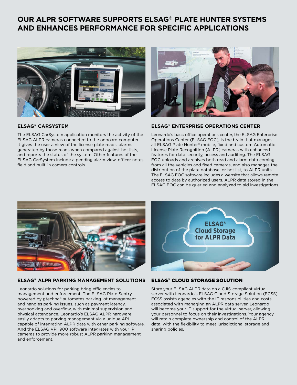# **OUR ALPR SOFTWARE SUPPORTS ELSAG® PLATE HUNTER SYSTEMS AND ENHANCES PERFORMANCE FOR SPECIFIC APPLICATIONS**



#### **ELSAG® CARSYSTEM**

The ELSAG CarSystem application monitors the activity of the ELSAG ALPR cameras connected to the onboard computer. It gives the user a view of the license plate reads, alarms generated by those reads when compared against hot lists, and reports the status of the system. Other features of the [ELSAG CarSystem include a pending alarm view, officer notes](https://www.leonardocompany-us.com/hubfs/LPR/2021%20Product%20Sheets%20for%20QR%20Codes/CarSystem%20Product%20Sheet_qr_2021.pdf)  field and built-in camera controls.



#### **[ELSAG® ENTERPRISE OPERATIONS CENTER](https://www.leonardocompany-us.com/hubfs/LPR/2021%20Product%20Sheets%20for%20QR%20Codes/EOC%20Product%20Sheet_qr_2021.pdf)**

Leonardo's back office operations center, the ELSAG Enterprise Operations Center (ELSAG EOC), is the brain that manages all ELSAG Plate Hunter® mobile, fixed and custom Automatic License Plate Recognition (ALPR) cameras with enhanced features for data security, access and auditing. The ELSAG EOC uploads and archives both read and alarm data coming from all the vehicles and fixed cameras, and also manages the distribution of the plate database, or hot list, to ALPR units. The ELSAG EOC software includes a website that allows remote access to data by authorized users. ALPR data stored in the ELSAG EOC can be queried and analyzed to aid investigations.



#### **[ELSAG® ALPR PARKING MANAGEMENT SOLUTIONS](https://www.leonardocompany-us.com/hubfs/LPR/2021%20Product%20Sheets%20for%20QR%20Codes/ALPR%20for%20Parking%20Product%20Sheet%20qr_2021.pdf)**

Leonardo solutions for parking bring efficiencies to management and enforcement. The ELSAG Plate Sentry powered by gtechna® automates parking lot management and handles parking issues, such as payment latency, overbooking and overflow, with minimal supervision and physical attendance. Leonardo's ELSAG ALPR hardware easily adapts to parking management via a unique API capable of integrating ALPR data with other parking software. And the ELSAG VPH900 software integrates with your IP cameras to provide more robust ALPR parking management and enforcement.



#### ELSAG® CLOUD STORAGE SOLUTION

Store your ELSAG ALPR data on a CJIS-compliant virtual [server with Leonardo's ELSAG Cloud Storage Solution \(ECSS\).](https://www.leonardocompany-us.com/hubfs/LPR/2021%20Product%20Sheets%20for%20QR%20Codes/ECCS%20Product%20Sheet_qr_2021.pdf)  ECSS assists agencies with the IT responsibilities and costs associated with managing an ALPR data server. Leonardo will become your IT support for the virtual server, allowing your personnel to focus on their investigations. Your agency will retain complete ownership and control of the ALPR data, with the flexibility to meet jurisdictional storage and sharing policies.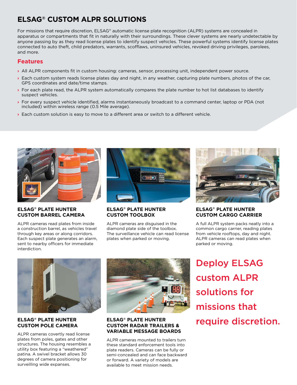# **ELSAG® CUSTOM ALPR SOLUTIONS**

For missions that require discretion, ELSAG® automatic license plate recognition (ALPR) systems are concealed in apparatus or compartments that fit in naturally with their surroundings. These clever systems are nearly undetectable by anyone passing by as they read license plates to identify suspect vehicles. These powerful systems identify license plates connected to auto theft, child predators, warrants, scofflaws, uninsured vehicles, revoked driving privileges, parolees, and more.

### **Features**

- **›** All ALPR components fit in custom housing: cameras, sensor, processing unit, independent power source.
- **›** Each custom system reads license plates day and night, in any weather, capturing plate numbers, photos of the car, GPS coordinates and date/time stamps.
- **›** For each plate read, the ALPR system automatically compares the plate number to hot list databases to identify suspect vehicles.
- **›** For every suspect vehicle identified, alarms instantaneously broadcast to a command center, laptop or PDA (not included) within wireless range (0.5 Mile average).
- **›** Each custom solution is easy to move to a different area or switch to a different vehicle.



#### **ELSAG® PLATE HUNTER CUSTOM BARREL CAMERA**

ALPR cameras read plates from inside a construction barrel, as vehicles travel through key areas or along corridors. [Each suspect plate generates an alarm,](https://www.leonardocompany-us.com/hubfs/LPR/2021%20Product%20Sheets%20for%20QR%20Codes/Covert%20Barrel%20Camera%20Product%20Sheet_qr_2021.pdf)  sent to nearby officers for immediate interdiction.



#### **ELSAG® PLATE HUNTER CUSTOM TOOLBOX**

ALPR cameras are disguised in the diamond plate side of the toolbox. [The surveillance vehicle can read license](https://www.leonardocompany-us.com/hubfs/LPR/2021%20Product%20Sheets%20for%20QR%20Codes/Covert%20Toolbox%20Product%20Sheet_qr_2021.pdf)  plates when parked or moving.



#### **ELSAG® PLATE HUNTER CUSTOM CARGO CARRIER**

[A full ALPR system packs neatly into a](https://www.leonardocompany-us.com/hubfs/LPR/2021%20Product%20Sheets%20for%20QR%20Codes/Cargo%20Carrier%20Product%20Sheet_qr_2021.pdf)  common cargo carrier, reading plates from vehicle rooftops, day and night. ALPR cameras can read plates when parked or moving.



### **ELSAG® PLATE HUNTER CUSTOM POLE CAMERA**

ALPR cameras covertly read license plates from poles, gates and other [structures. The housing resembles a](https://www.leonardocompany-us.com/hubfs/LPR/2021%20Product%20Sheets%20for%20QR%20Codes/Covert%20Pole%20Camera%20Product%20Sheet_qr_2021.pdf)  utility box featuring a "weathered" patina. A swivel bracket allows 30 degrees of camera positioning for surveilling wide expanses.



#### **ELSAG® PLATE HUNTER CUSTOM RADAR TRAILERS & [VARIABLE MESSAGE BOARDS](https://www.leonardocompany-us.com/hubfs/LPR/2021%20Product%20Sheets%20for%20QR%20Codes/Radar%20Trailer%20Product%20Sheet_qr_2021.pdf)**

ALPR cameras mounted to trailers turn these standard enforcement tools into plate readers. Cameras can be fully or semi-concealed and can face backward or forward. A variety of models are available to meet mission needs.

Deploy ELSAG custom ALPR solutions for missions that require discretion.